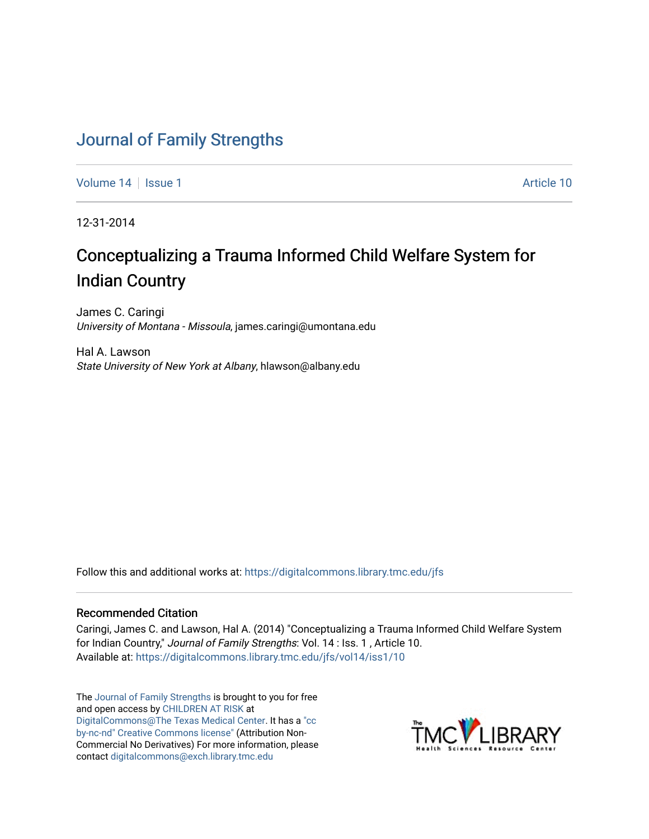## [Journal of Family Strengths](https://digitalcommons.library.tmc.edu/jfs)

[Volume 14](https://digitalcommons.library.tmc.edu/jfs/vol14) | [Issue 1](https://digitalcommons.library.tmc.edu/jfs/vol14/iss1) Article 10

12-31-2014

# Conceptualizing a Trauma Informed Child Welfare System for Indian Country

James C. Caringi University of Montana - Missoula, james.caringi@umontana.edu

Hal A. Lawson State University of New York at Albany, hlawson@albany.edu

Follow this and additional works at: [https://digitalcommons.library.tmc.edu/jfs](https://digitalcommons.library.tmc.edu/jfs?utm_source=digitalcommons.library.tmc.edu%2Fjfs%2Fvol14%2Fiss1%2F10&utm_medium=PDF&utm_campaign=PDFCoverPages) 

#### Recommended Citation

Caringi, James C. and Lawson, Hal A. (2014) "Conceptualizing a Trauma Informed Child Welfare System for Indian Country," Journal of Family Strengths: Vol. 14 : Iss. 1 , Article 10. Available at: [https://digitalcommons.library.tmc.edu/jfs/vol14/iss1/10](https://digitalcommons.library.tmc.edu/jfs/vol14/iss1/10?utm_source=digitalcommons.library.tmc.edu%2Fjfs%2Fvol14%2Fiss1%2F10&utm_medium=PDF&utm_campaign=PDFCoverPages)

The [Journal of Family Strengths](http://digitalcommons.library.tmc.edu/jfs) is brought to you for free and open access by [CHILDREN AT RISK](http://childrenatrisk.org/) at [DigitalCommons@The Texas Medical Center](http://digitalcommons.library.tmc.edu/). It has a ["cc](http://creativecommons.org/licenses/by-nc-nd/3.0/)  [by-nc-nd" Creative Commons license"](http://creativecommons.org/licenses/by-nc-nd/3.0/) (Attribution Non-Commercial No Derivatives) For more information, please contact [digitalcommons@exch.library.tmc.edu](mailto:digitalcommons@exch.library.tmc.edu) 

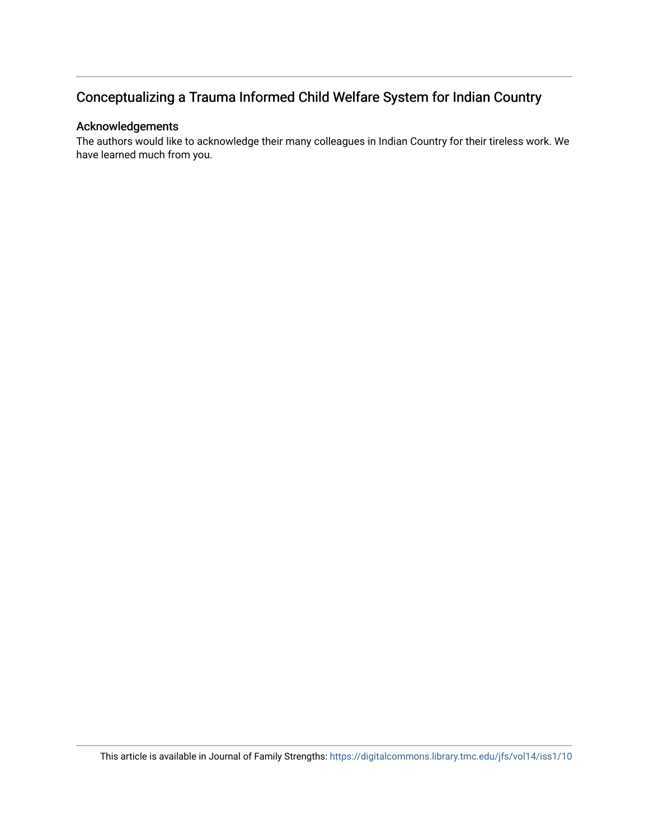## Conceptualizing a Trauma Informed Child Welfare System for Indian Country

#### Acknowledgements

The authors would like to acknowledge their many colleagues in Indian Country for their tireless work. We have learned much from you.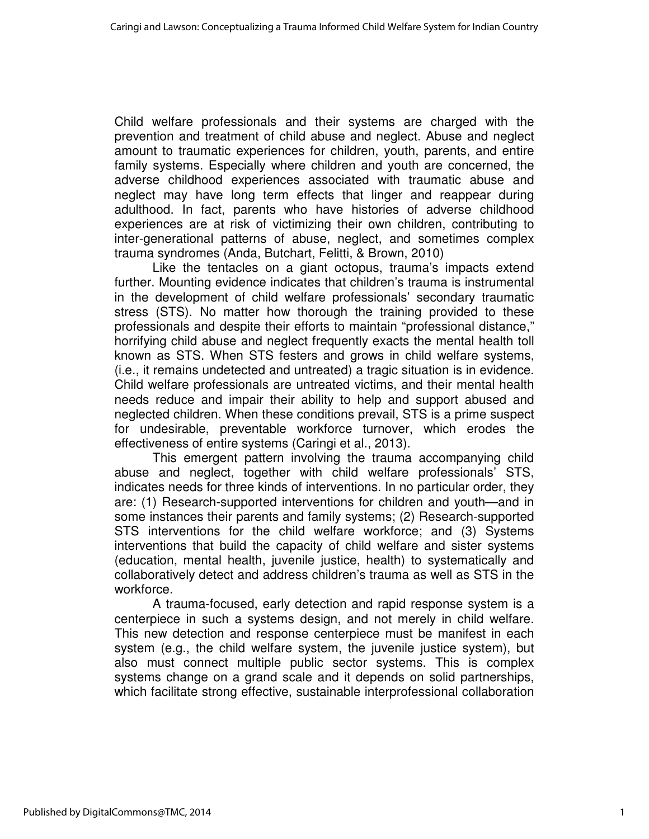Child welfare professionals and their systems are charged with the prevention and treatment of child abuse and neglect. Abuse and neglect amount to traumatic experiences for children, youth, parents, and entire family systems. Especially where children and youth are concerned, the adverse childhood experiences associated with traumatic abuse and neglect may have long term effects that linger and reappear during adulthood. In fact, parents who have histories of adverse childhood experiences are at risk of victimizing their own children, contributing to inter-generational patterns of abuse, neglect, and sometimes complex trauma syndromes (Anda, Butchart, Felitti, & Brown, 2010)

Like the tentacles on a giant octopus, trauma's impacts extend further. Mounting evidence indicates that children's trauma is instrumental in the development of child welfare professionals' secondary traumatic stress (STS). No matter how thorough the training provided to these professionals and despite their efforts to maintain "professional distance," horrifying child abuse and neglect frequently exacts the mental health toll known as STS. When STS festers and grows in child welfare systems, (i.e., it remains undetected and untreated) a tragic situation is in evidence. Child welfare professionals are untreated victims, and their mental health needs reduce and impair their ability to help and support abused and neglected children. When these conditions prevail, STS is a prime suspect for undesirable, preventable workforce turnover, which erodes the effectiveness of entire systems (Caringi et al., 2013).

This emergent pattern involving the trauma accompanying child abuse and neglect, together with child welfare professionals' STS, indicates needs for three kinds of interventions. In no particular order, they are: (1) Research-supported interventions for children and youth—and in some instances their parents and family systems; (2) Research-supported STS interventions for the child welfare workforce; and (3) Systems interventions that build the capacity of child welfare and sister systems (education, mental health, juvenile justice, health) to systematically and collaboratively detect and address children's trauma as well as STS in the workforce.

A trauma-focused, early detection and rapid response system is a centerpiece in such a systems design, and not merely in child welfare. This new detection and response centerpiece must be manifest in each system (e.g., the child welfare system, the juvenile justice system), but also must connect multiple public sector systems. This is complex systems change on a grand scale and it depends on solid partnerships, which facilitate strong effective, sustainable interprofessional collaboration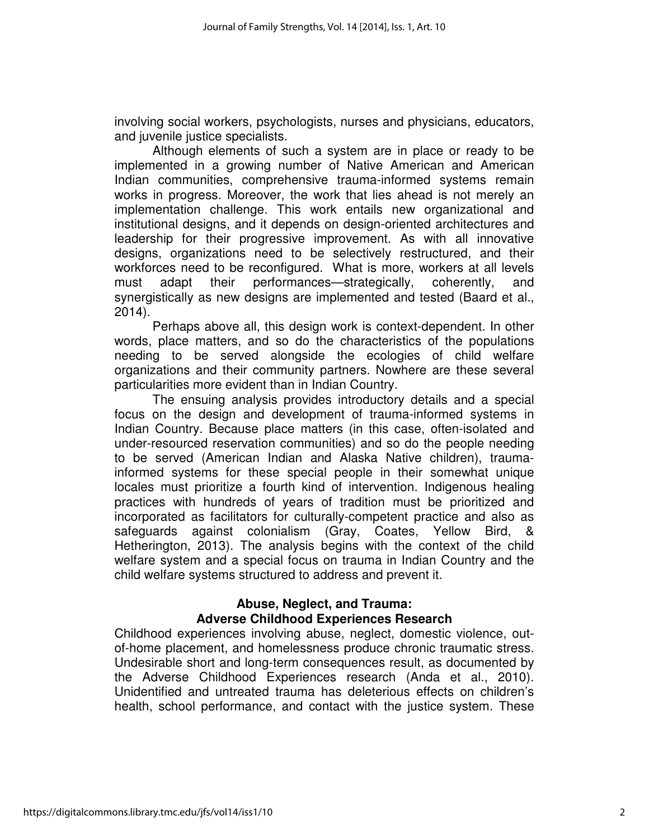involving social workers, psychologists, nurses and physicians, educators, and juvenile justice specialists.

Although elements of such a system are in place or ready to be implemented in a growing number of Native American and American Indian communities, comprehensive trauma-informed systems remain works in progress. Moreover, the work that lies ahead is not merely an implementation challenge. This work entails new organizational and institutional designs, and it depends on design-oriented architectures and leadership for their progressive improvement. As with all innovative designs, organizations need to be selectively restructured, and their workforces need to be reconfigured. What is more, workers at all levels must adapt their performances—strategically, coherently, and synergistically as new designs are implemented and tested (Baard et al., 2014).

Perhaps above all, this design work is context-dependent. In other words, place matters, and so do the characteristics of the populations needing to be served alongside the ecologies of child welfare organizations and their community partners. Nowhere are these several particularities more evident than in Indian Country.

The ensuing analysis provides introductory details and a special focus on the design and development of trauma-informed systems in Indian Country. Because place matters (in this case, often-isolated and under-resourced reservation communities) and so do the people needing to be served (American Indian and Alaska Native children), traumainformed systems for these special people in their somewhat unique locales must prioritize a fourth kind of intervention. Indigenous healing practices with hundreds of years of tradition must be prioritized and incorporated as facilitators for culturally-competent practice and also as safeguards against colonialism (Gray, Coates, Yellow Bird, & Hetherington, 2013). The analysis begins with the context of the child welfare system and a special focus on trauma in Indian Country and the child welfare systems structured to address and prevent it.

#### **Abuse, Neglect, and Trauma: Adverse Childhood Experiences Research**

Childhood experiences involving abuse, neglect, domestic violence, outof-home placement, and homelessness produce chronic traumatic stress. Undesirable short and long-term consequences result, as documented by the Adverse Childhood Experiences research (Anda et al., 2010). Unidentified and untreated trauma has deleterious effects on children's health, school performance, and contact with the justice system. These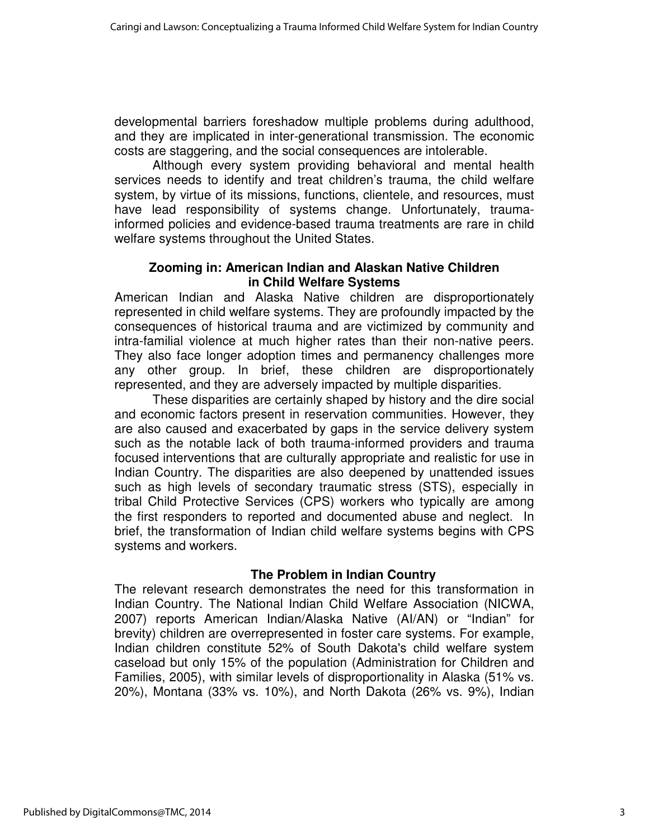developmental barriers foreshadow multiple problems during adulthood, and they are implicated in inter-generational transmission. The economic costs are staggering, and the social consequences are intolerable.

Although every system providing behavioral and mental health services needs to identify and treat children's trauma, the child welfare system, by virtue of its missions, functions, clientele, and resources, must have lead responsibility of systems change. Unfortunately, traumainformed policies and evidence-based trauma treatments are rare in child welfare systems throughout the United States.

#### **Zooming in: American Indian and Alaskan Native Children in Child Welfare Systems**

American Indian and Alaska Native children are disproportionately represented in child welfare systems. They are profoundly impacted by the consequences of historical trauma and are victimized by community and intra-familial violence at much higher rates than their non-native peers. They also face longer adoption times and permanency challenges more any other group. In brief, these children are disproportionately represented, and they are adversely impacted by multiple disparities.

These disparities are certainly shaped by history and the dire social and economic factors present in reservation communities. However, they are also caused and exacerbated by gaps in the service delivery system such as the notable lack of both trauma-informed providers and trauma focused interventions that are culturally appropriate and realistic for use in Indian Country. The disparities are also deepened by unattended issues such as high levels of secondary traumatic stress (STS), especially in tribal Child Protective Services (CPS) workers who typically are among the first responders to reported and documented abuse and neglect. In brief, the transformation of Indian child welfare systems begins with CPS systems and workers.

### **The Problem in Indian Country**

The relevant research demonstrates the need for this transformation in Indian Country. The National Indian Child Welfare Association (NICWA, 2007) reports American Indian/Alaska Native (AI/AN) or "Indian" for brevity) children are overrepresented in foster care systems. For example, Indian children constitute 52% of South Dakota's child welfare system caseload but only 15% of the population (Administration for Children and Families, 2005), with similar levels of disproportionality in Alaska (51% vs. 20%), Montana (33% vs. 10%), and North Dakota (26% vs. 9%), Indian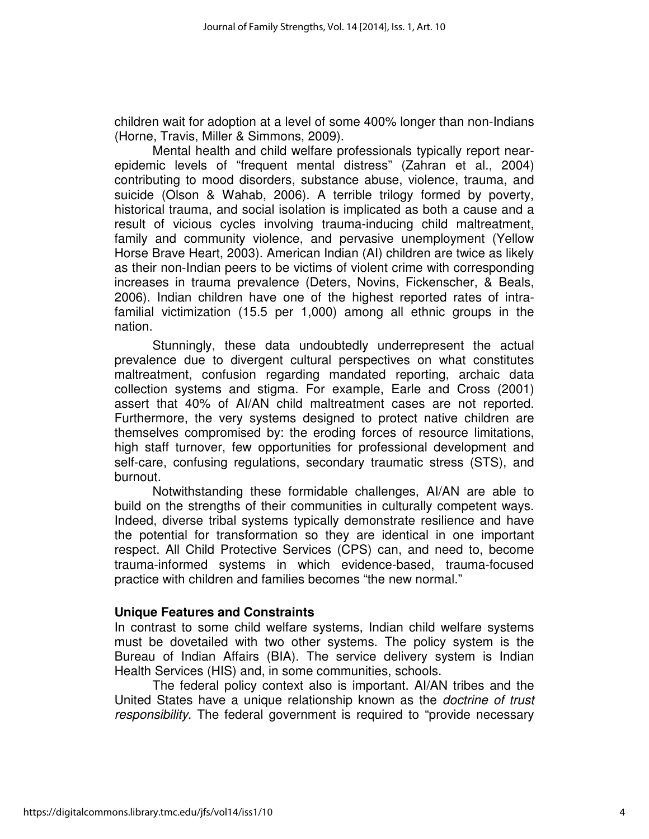children wait for adoption at a level of some 400% longer than non-Indians (Horne, Travis, Miller & Simmons, 2009).

Mental health and child welfare professionals typically report nearepidemic levels of "frequent mental distress" (Zahran et al., 2004) contributing to mood disorders, substance abuse, violence, trauma, and suicide (Olson & Wahab, 2006). A terrible trilogy formed by poverty, historical trauma, and social isolation is implicated as both a cause and a result of vicious cycles involving trauma-inducing child maltreatment, family and community violence, and pervasive unemployment (Yellow Horse Brave Heart, 2003). American Indian (AI) children are twice as likely as their non-Indian peers to be victims of violent crime with corresponding increases in trauma prevalence (Deters, Novins, Fickenscher, & Beals, 2006). Indian children have one of the highest reported rates of intrafamilial victimization (15.5 per 1,000) among all ethnic groups in the nation.

Stunningly, these data undoubtedly underrepresent the actual prevalence due to divergent cultural perspectives on what constitutes maltreatment, confusion regarding mandated reporting, archaic data collection systems and stigma. For example, Earle and Cross (2001) assert that 40% of AI/AN child maltreatment cases are not reported. Furthermore, the very systems designed to protect native children are themselves compromised by: the eroding forces of resource limitations, high staff turnover, few opportunities for professional development and self-care, confusing regulations, secondary traumatic stress (STS), and burnout.

Notwithstanding these formidable challenges, AI/AN are able to build on the strengths of their communities in culturally competent ways. Indeed, diverse tribal systems typically demonstrate resilience and have the potential for transformation so they are identical in one important respect. All Child Protective Services (CPS) can, and need to, become trauma-informed systems in which evidence-based, trauma-focused practice with children and families becomes "the new normal."

#### **Unique Features and Constraints**

In contrast to some child welfare systems, Indian child welfare systems must be dovetailed with two other systems. The policy system is the Bureau of Indian Affairs (BIA). The service delivery system is Indian Health Services (HIS) and, in some communities, schools.

The federal policy context also is important. AI/AN tribes and the United States have a unique relationship known as the *doctrine of trust* responsibility. The federal government is required to "provide necessary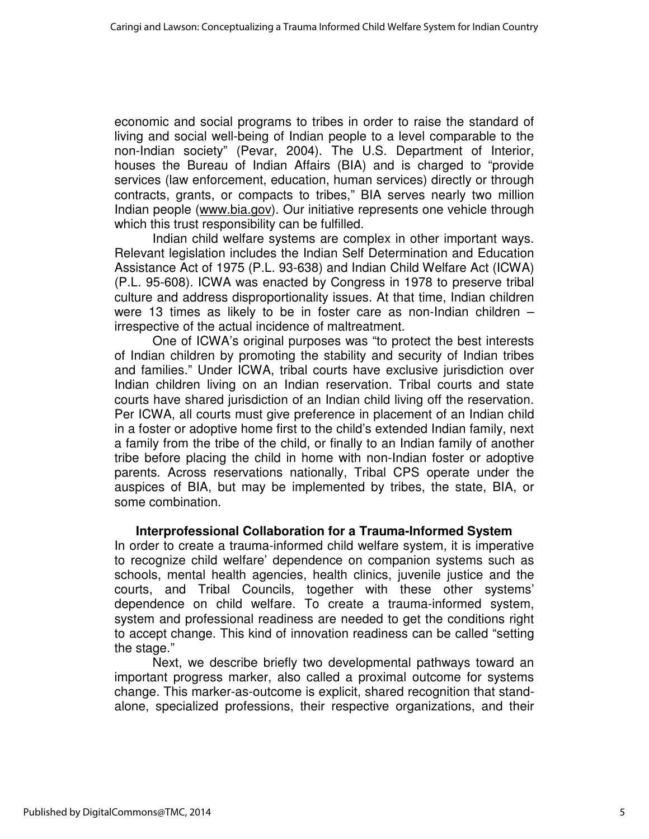economic and social programs to tribes in order to raise the standard of living and social well-being of Indian people to a level comparable to the non-Indian society" (Pevar, 2004). The U.S. Department of Interior, houses the Bureau of Indian Affairs (BIA) and is charged to "provide services (law enforcement, education, human services) directly or through contracts, grants, or compacts to tribes," BIA serves nearly two million Indian people (www.bia.gov). Our initiative represents one vehicle through which this trust responsibility can be fulfilled.

Indian child welfare systems are complex in other important ways. Relevant legislation includes the Indian Self Determination and Education Assistance Act of 1975 (P.L. 93-638) and Indian Child Welfare Act (ICWA) (P.L. 95-608). ICWA was enacted by Congress in 1978 to preserve tribal culture and address disproportionality issues. At that time, Indian children were 13 times as likely to be in foster care as non-Indian children – irrespective of the actual incidence of maltreatment.

One of ICWA's original purposes was "to protect the best interests of Indian children by promoting the stability and security of Indian tribes and families." Under ICWA, tribal courts have exclusive jurisdiction over Indian children living on an Indian reservation. Tribal courts and state courts have shared jurisdiction of an Indian child living off the reservation. Per ICWA, all courts must give preference in placement of an Indian child in a foster or adoptive home first to the child's extended Indian family, next a family from the tribe of the child, or finally to an Indian family of another tribe before placing the child in home with non-Indian foster or adoptive parents. Across reservations nationally, Tribal CPS operate under the auspices of BIA, but may be implemented by tribes, the state, BIA, or some combination.

#### **Interprofessional Collaboration for a Trauma-Informed System**

In order to create a trauma-informed child welfare system, it is imperative to recognize child welfare' dependence on companion systems such as schools, mental health agencies, health clinics, juvenile justice and the courts, and Tribal Councils, together with these other systems' dependence on child welfare. To create a trauma-informed system, system and professional readiness are needed to get the conditions right to accept change. This kind of innovation readiness can be called "setting the stage."

Next, we describe briefly two developmental pathways toward an important progress marker, also called a proximal outcome for systems change. This marker-as-outcome is explicit, shared recognition that standalone, specialized professions, their respective organizations, and their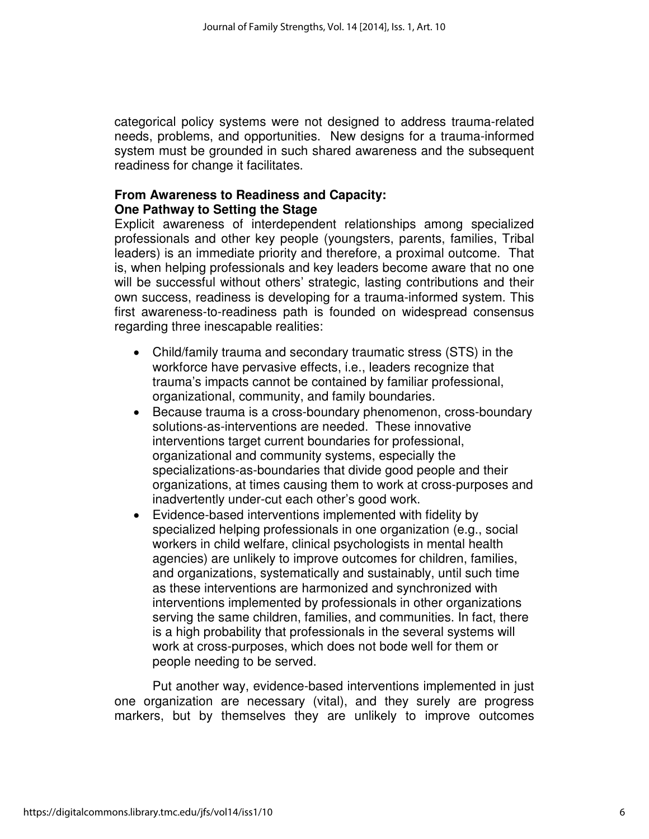categorical policy systems were not designed to address trauma-related needs, problems, and opportunities. New designs for a trauma-informed system must be grounded in such shared awareness and the subsequent readiness for change it facilitates.

#### **From Awareness to Readiness and Capacity: One Pathway to Setting the Stage**

Explicit awareness of interdependent relationships among specialized professionals and other key people (youngsters, parents, families, Tribal leaders) is an immediate priority and therefore, a proximal outcome. That is, when helping professionals and key leaders become aware that no one will be successful without others' strategic, lasting contributions and their own success, readiness is developing for a trauma-informed system. This first awareness-to-readiness path is founded on widespread consensus regarding three inescapable realities:

- Child/family trauma and secondary traumatic stress (STS) in the workforce have pervasive effects, i.e., leaders recognize that trauma's impacts cannot be contained by familiar professional, organizational, community, and family boundaries.
- Because trauma is a cross-boundary phenomenon, cross-boundary solutions-as-interventions are needed. These innovative interventions target current boundaries for professional, organizational and community systems, especially the specializations-as-boundaries that divide good people and their organizations, at times causing them to work at cross-purposes and inadvertently under-cut each other's good work.
- Evidence-based interventions implemented with fidelity by specialized helping professionals in one organization (e.g., social workers in child welfare, clinical psychologists in mental health agencies) are unlikely to improve outcomes for children, families, and organizations, systematically and sustainably, until such time as these interventions are harmonized and synchronized with interventions implemented by professionals in other organizations serving the same children, families, and communities. In fact, there is a high probability that professionals in the several systems will work at cross-purposes, which does not bode well for them or people needing to be served.

Put another way, evidence-based interventions implemented in just one organization are necessary (vital), and they surely are progress markers, but by themselves they are unlikely to improve outcomes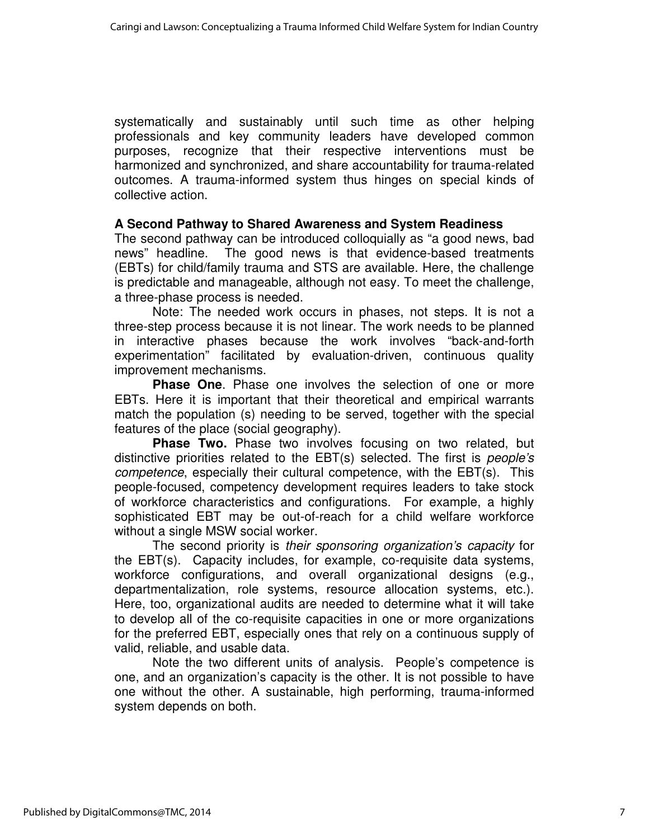systematically and sustainably until such time as other helping professionals and key community leaders have developed common purposes, recognize that their respective interventions must be harmonized and synchronized, and share accountability for trauma-related outcomes. A trauma-informed system thus hinges on special kinds of collective action.

#### **A Second Pathway to Shared Awareness and System Readiness**

The second pathway can be introduced colloquially as "a good news, bad news" headline. The good news is that evidence-based treatments (EBTs) for child/family trauma and STS are available. Here, the challenge is predictable and manageable, although not easy. To meet the challenge, a three-phase process is needed.

Note: The needed work occurs in phases, not steps. It is not a three-step process because it is not linear. The work needs to be planned in interactive phases because the work involves "back-and-forth experimentation" facilitated by evaluation-driven, continuous quality improvement mechanisms.

**Phase One**. Phase one involves the selection of one or more EBTs. Here it is important that their theoretical and empirical warrants match the population (s) needing to be served, together with the special features of the place (social geography).

**Phase Two.** Phase two involves focusing on two related, but distinctive priorities related to the EBT(s) selected. The first is *people's* competence, especially their cultural competence, with the EBT(s). This people-focused, competency development requires leaders to take stock of workforce characteristics and configurations. For example, a highly sophisticated EBT may be out-of-reach for a child welfare workforce without a single MSW social worker.

The second priority is their sponsoring organization's capacity for the EBT(s). Capacity includes, for example, co-requisite data systems, workforce configurations, and overall organizational designs (e.g., departmentalization, role systems, resource allocation systems, etc.). Here, too, organizational audits are needed to determine what it will take to develop all of the co-requisite capacities in one or more organizations for the preferred EBT, especially ones that rely on a continuous supply of valid, reliable, and usable data.

Note the two different units of analysis. People's competence is one, and an organization's capacity is the other. It is not possible to have one without the other. A sustainable, high performing, trauma-informed system depends on both.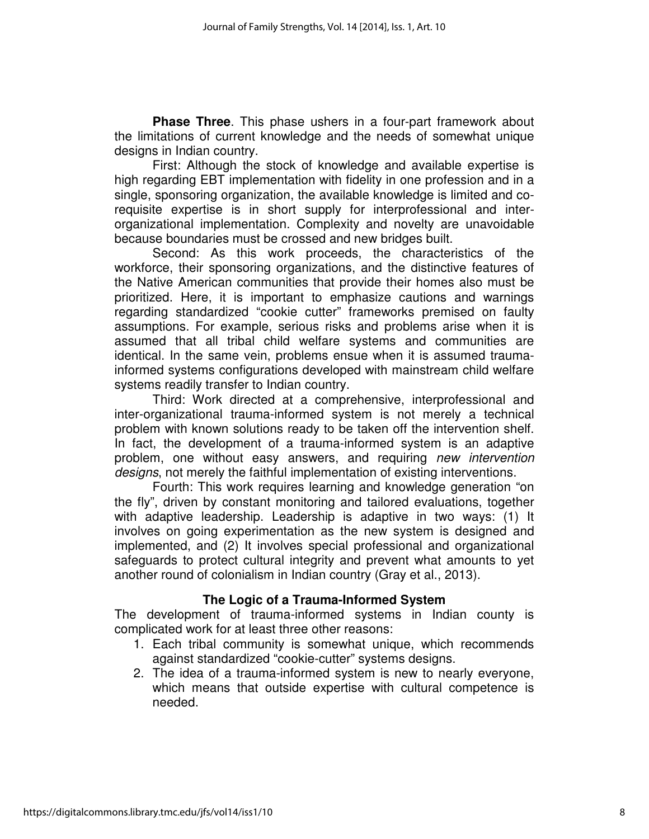**Phase Three**. This phase ushers in a four-part framework about the limitations of current knowledge and the needs of somewhat unique designs in Indian country.

First: Although the stock of knowledge and available expertise is high regarding EBT implementation with fidelity in one profession and in a single, sponsoring organization, the available knowledge is limited and corequisite expertise is in short supply for interprofessional and interorganizational implementation. Complexity and novelty are unavoidable because boundaries must be crossed and new bridges built.

Second: As this work proceeds, the characteristics of the workforce, their sponsoring organizations, and the distinctive features of the Native American communities that provide their homes also must be prioritized. Here, it is important to emphasize cautions and warnings regarding standardized "cookie cutter" frameworks premised on faulty assumptions. For example, serious risks and problems arise when it is assumed that all tribal child welfare systems and communities are identical. In the same vein, problems ensue when it is assumed traumainformed systems configurations developed with mainstream child welfare systems readily transfer to Indian country.

Third: Work directed at a comprehensive, interprofessional and inter-organizational trauma-informed system is not merely a technical problem with known solutions ready to be taken off the intervention shelf. In fact, the development of a trauma-informed system is an adaptive problem, one without easy answers, and requiring new intervention designs, not merely the faithful implementation of existing interventions.

Fourth: This work requires learning and knowledge generation "on the fly", driven by constant monitoring and tailored evaluations, together with adaptive leadership. Leadership is adaptive in two ways: (1) It involves on going experimentation as the new system is designed and implemented, and (2) It involves special professional and organizational safeguards to protect cultural integrity and prevent what amounts to yet another round of colonialism in Indian country (Gray et al., 2013).

#### **The Logic of a Trauma-Informed System**

The development of trauma-informed systems in Indian county is complicated work for at least three other reasons:

- 1. Each tribal community is somewhat unique, which recommends against standardized "cookie-cutter" systems designs.
- 2. The idea of a trauma-informed system is new to nearly everyone, which means that outside expertise with cultural competence is needed.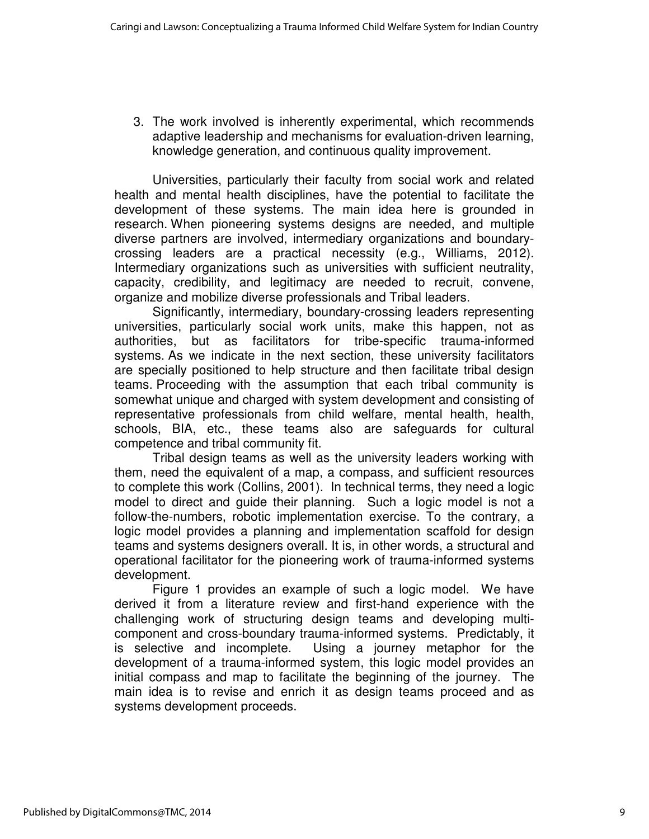3. The work involved is inherently experimental, which recommends adaptive leadership and mechanisms for evaluation-driven learning, knowledge generation, and continuous quality improvement.

Universities, particularly their faculty from social work and related health and mental health disciplines, have the potential to facilitate the development of these systems. The main idea here is grounded in research. When pioneering systems designs are needed, and multiple diverse partners are involved, intermediary organizations and boundarycrossing leaders are a practical necessity (e.g., Williams, 2012). Intermediary organizations such as universities with sufficient neutrality, capacity, credibility, and legitimacy are needed to recruit, convene, organize and mobilize diverse professionals and Tribal leaders.

Significantly, intermediary, boundary-crossing leaders representing universities, particularly social work units, make this happen, not as authorities, but as facilitators for tribe-specific trauma-informed systems. As we indicate in the next section, these university facilitators are specially positioned to help structure and then facilitate tribal design teams. Proceeding with the assumption that each tribal community is somewhat unique and charged with system development and consisting of representative professionals from child welfare, mental health, health, schools, BIA, etc., these teams also are safeguards for cultural competence and tribal community fit.

Tribal design teams as well as the university leaders working with them, need the equivalent of a map, a compass, and sufficient resources to complete this work (Collins, 2001). In technical terms, they need a logic model to direct and guide their planning. Such a logic model is not a follow-the-numbers, robotic implementation exercise. To the contrary, a logic model provides a planning and implementation scaffold for design teams and systems designers overall. It is, in other words, a structural and operational facilitator for the pioneering work of trauma-informed systems development.

Figure 1 provides an example of such a logic model. We have derived it from a literature review and first-hand experience with the challenging work of structuring design teams and developing multicomponent and cross-boundary trauma-informed systems. Predictably, it is selective and incomplete. Using a journey metaphor for the development of a trauma-informed system, this logic model provides an initial compass and map to facilitate the beginning of the journey. The main idea is to revise and enrich it as design teams proceed and as systems development proceeds.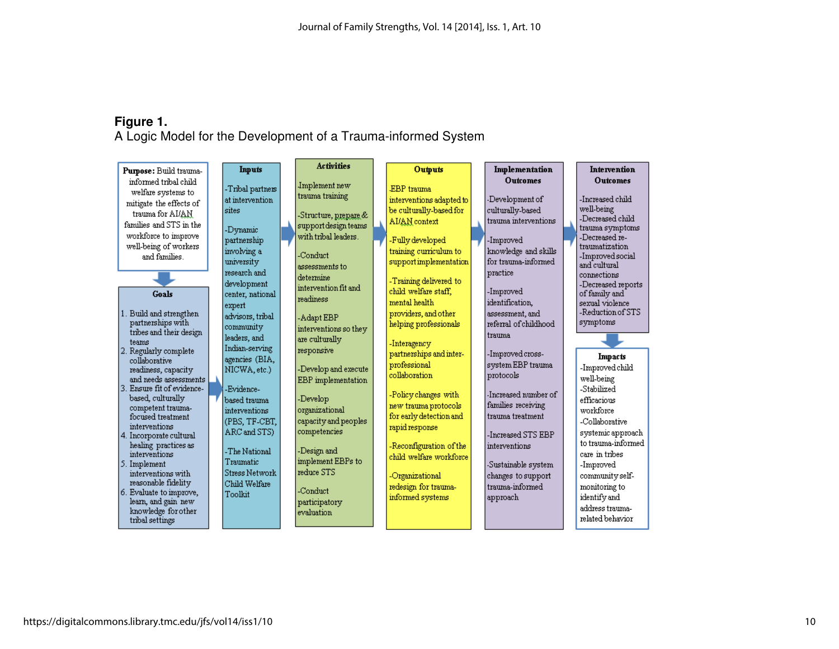### **Figure 1.**

A Logic Model for the Development of a Trauma-informed System

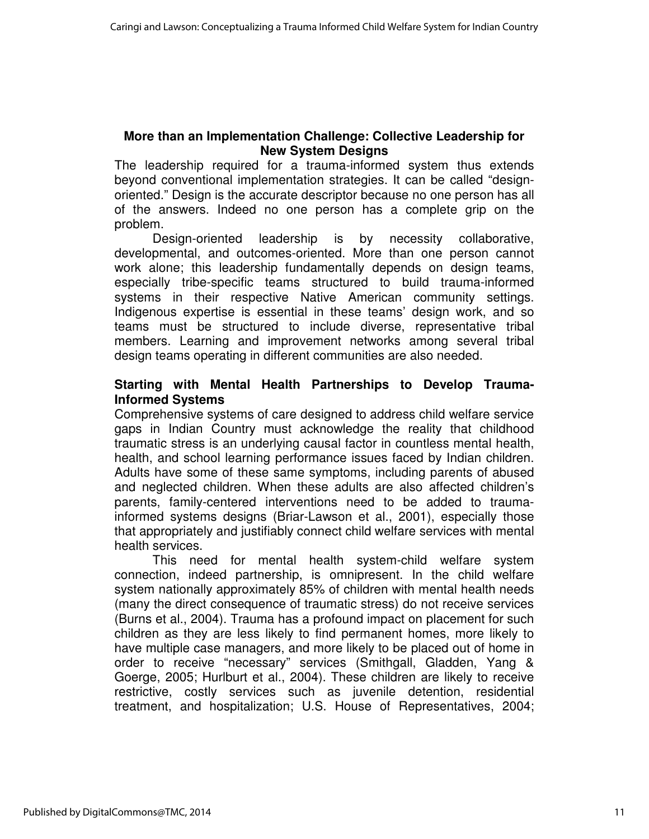#### **More than an Implementation Challenge: Collective Leadership for New System Designs**

The leadership required for a trauma-informed system thus extends beyond conventional implementation strategies. It can be called "designoriented." Design is the accurate descriptor because no one person has all of the answers. Indeed no one person has a complete grip on the problem.

Design-oriented leadership is by necessity collaborative, developmental, and outcomes-oriented. More than one person cannot work alone; this leadership fundamentally depends on design teams, especially tribe-specific teams structured to build trauma-informed systems in their respective Native American community settings. Indigenous expertise is essential in these teams' design work, and so teams must be structured to include diverse, representative tribal members. Learning and improvement networks among several tribal design teams operating in different communities are also needed.

#### **Starting with Mental Health Partnerships to Develop Trauma-Informed Systems**

Comprehensive systems of care designed to address child welfare service gaps in Indian Country must acknowledge the reality that childhood traumatic stress is an underlying causal factor in countless mental health, health, and school learning performance issues faced by Indian children. Adults have some of these same symptoms, including parents of abused and neglected children. When these adults are also affected children's parents, family-centered interventions need to be added to traumainformed systems designs (Briar-Lawson et al., 2001), especially those that appropriately and justifiably connect child welfare services with mental health services.

This need for mental health system-child welfare system connection, indeed partnership, is omnipresent. In the child welfare system nationally approximately 85% of children with mental health needs (many the direct consequence of traumatic stress) do not receive services (Burns et al., 2004). Trauma has a profound impact on placement for such children as they are less likely to find permanent homes, more likely to have multiple case managers, and more likely to be placed out of home in order to receive "necessary" services (Smithgall, Gladden, Yang & Goerge, 2005; Hurlburt et al., 2004). These children are likely to receive restrictive, costly services such as juvenile detention, residential treatment, and hospitalization; U.S. House of Representatives, 2004;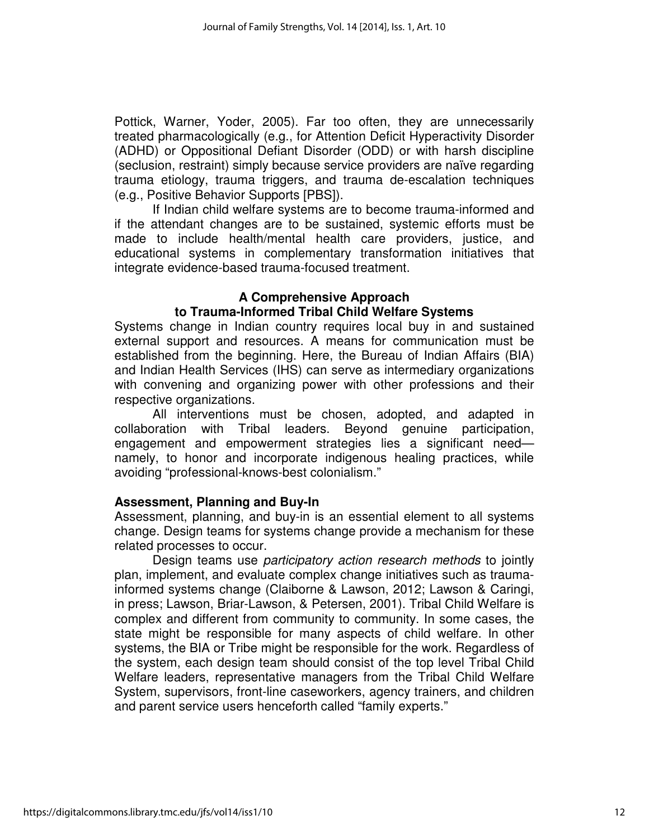Pottick, Warner, Yoder, 2005). Far too often, they are unnecessarily treated pharmacologically (e.g., for Attention Deficit Hyperactivity Disorder (ADHD) or Oppositional Defiant Disorder (ODD) or with harsh discipline (seclusion, restraint) simply because service providers are naïve regarding trauma etiology, trauma triggers, and trauma de-escalation techniques (e.g., Positive Behavior Supports [PBS]).

If Indian child welfare systems are to become trauma-informed and if the attendant changes are to be sustained, systemic efforts must be made to include health/mental health care providers, justice, and educational systems in complementary transformation initiatives that integrate evidence-based trauma-focused treatment.

#### **A Comprehensive Approach to Trauma-Informed Tribal Child Welfare Systems**

Systems change in Indian country requires local buy in and sustained external support and resources. A means for communication must be established from the beginning. Here, the Bureau of Indian Affairs (BIA) and Indian Health Services (IHS) can serve as intermediary organizations with convening and organizing power with other professions and their respective organizations.

All interventions must be chosen, adopted, and adapted in collaboration with Tribal leaders. Beyond genuine participation, engagement and empowerment strategies lies a significant need namely, to honor and incorporate indigenous healing practices, while avoiding "professional-knows-best colonialism."

#### **Assessment, Planning and Buy-In**

Assessment, planning, and buy-in is an essential element to all systems change. Design teams for systems change provide a mechanism for these related processes to occur.

Design teams use participatory action research methods to jointly plan, implement, and evaluate complex change initiatives such as traumainformed systems change (Claiborne & Lawson, 2012; Lawson & Caringi, in press; Lawson, Briar-Lawson, & Petersen, 2001). Tribal Child Welfare is complex and different from community to community. In some cases, the state might be responsible for many aspects of child welfare. In other systems, the BIA or Tribe might be responsible for the work. Regardless of the system, each design team should consist of the top level Tribal Child Welfare leaders, representative managers from the Tribal Child Welfare System, supervisors, front-line caseworkers, agency trainers, and children and parent service users henceforth called "family experts."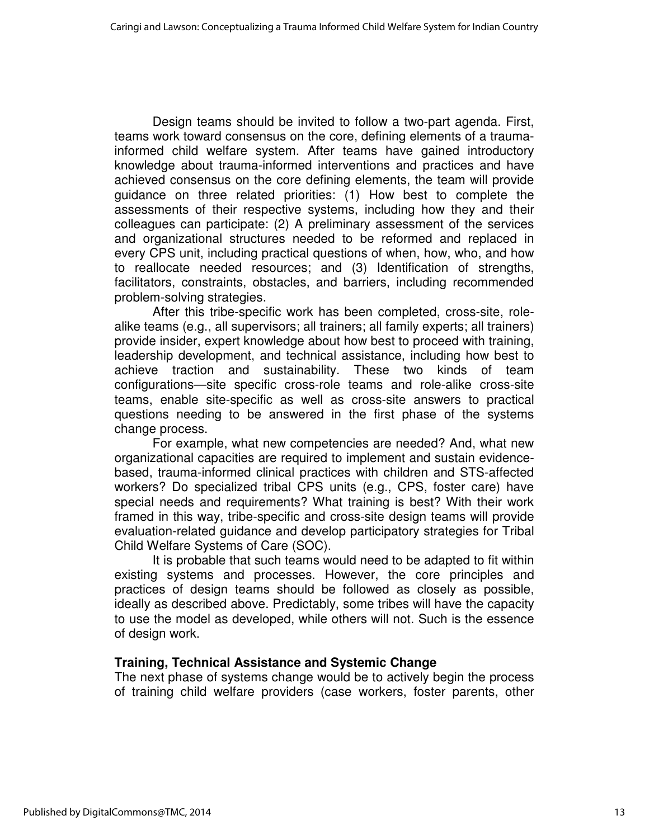Design teams should be invited to follow a two-part agenda. First, teams work toward consensus on the core, defining elements of a traumainformed child welfare system. After teams have gained introductory knowledge about trauma-informed interventions and practices and have achieved consensus on the core defining elements, the team will provide guidance on three related priorities: (1) How best to complete the assessments of their respective systems, including how they and their colleagues can participate: (2) A preliminary assessment of the services and organizational structures needed to be reformed and replaced in every CPS unit, including practical questions of when, how, who, and how to reallocate needed resources; and (3) Identification of strengths, facilitators, constraints, obstacles, and barriers, including recommended problem-solving strategies.

After this tribe-specific work has been completed, cross-site, rolealike teams (e.g., all supervisors; all trainers; all family experts; all trainers) provide insider, expert knowledge about how best to proceed with training, leadership development, and technical assistance, including how best to achieve traction and sustainability. These two kinds of team configurations—site specific cross-role teams and role-alike cross-site teams, enable site-specific as well as cross-site answers to practical questions needing to be answered in the first phase of the systems change process.

For example, what new competencies are needed? And, what new organizational capacities are required to implement and sustain evidencebased, trauma-informed clinical practices with children and STS-affected workers? Do specialized tribal CPS units (e.g., CPS, foster care) have special needs and requirements? What training is best? With their work framed in this way, tribe-specific and cross-site design teams will provide evaluation-related guidance and develop participatory strategies for Tribal Child Welfare Systems of Care (SOC).

It is probable that such teams would need to be adapted to fit within existing systems and processes. However, the core principles and practices of design teams should be followed as closely as possible, ideally as described above. Predictably, some tribes will have the capacity to use the model as developed, while others will not. Such is the essence of design work.

#### **Training, Technical Assistance and Systemic Change**

The next phase of systems change would be to actively begin the process of training child welfare providers (case workers, foster parents, other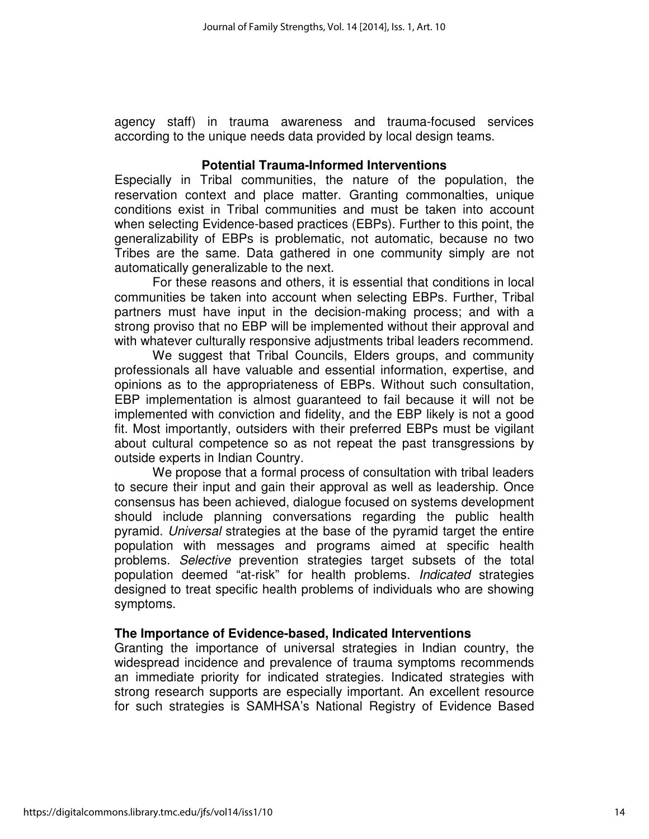agency staff) in trauma awareness and trauma-focused services according to the unique needs data provided by local design teams.

#### **Potential Trauma-Informed Interventions**

Especially in Tribal communities, the nature of the population, the reservation context and place matter. Granting commonalties, unique conditions exist in Tribal communities and must be taken into account when selecting Evidence-based practices (EBPs). Further to this point, the generalizability of EBPs is problematic, not automatic, because no two Tribes are the same. Data gathered in one community simply are not automatically generalizable to the next.

For these reasons and others, it is essential that conditions in local communities be taken into account when selecting EBPs. Further, Tribal partners must have input in the decision-making process; and with a strong proviso that no EBP will be implemented without their approval and with whatever culturally responsive adjustments tribal leaders recommend.

We suggest that Tribal Councils, Elders groups, and community professionals all have valuable and essential information, expertise, and opinions as to the appropriateness of EBPs. Without such consultation, EBP implementation is almost guaranteed to fail because it will not be implemented with conviction and fidelity, and the EBP likely is not a good fit. Most importantly, outsiders with their preferred EBPs must be vigilant about cultural competence so as not repeat the past transgressions by outside experts in Indian Country.

We propose that a formal process of consultation with tribal leaders to secure their input and gain their approval as well as leadership. Once consensus has been achieved, dialogue focused on systems development should include planning conversations regarding the public health pyramid. Universal strategies at the base of the pyramid target the entire population with messages and programs aimed at specific health problems. Selective prevention strategies target subsets of the total population deemed "at-risk" for health problems. Indicated strategies designed to treat specific health problems of individuals who are showing symptoms.

#### **The Importance of Evidence-based, Indicated Interventions**

Granting the importance of universal strategies in Indian country, the widespread incidence and prevalence of trauma symptoms recommends an immediate priority for indicated strategies. Indicated strategies with strong research supports are especially important. An excellent resource for such strategies is SAMHSA's National Registry of Evidence Based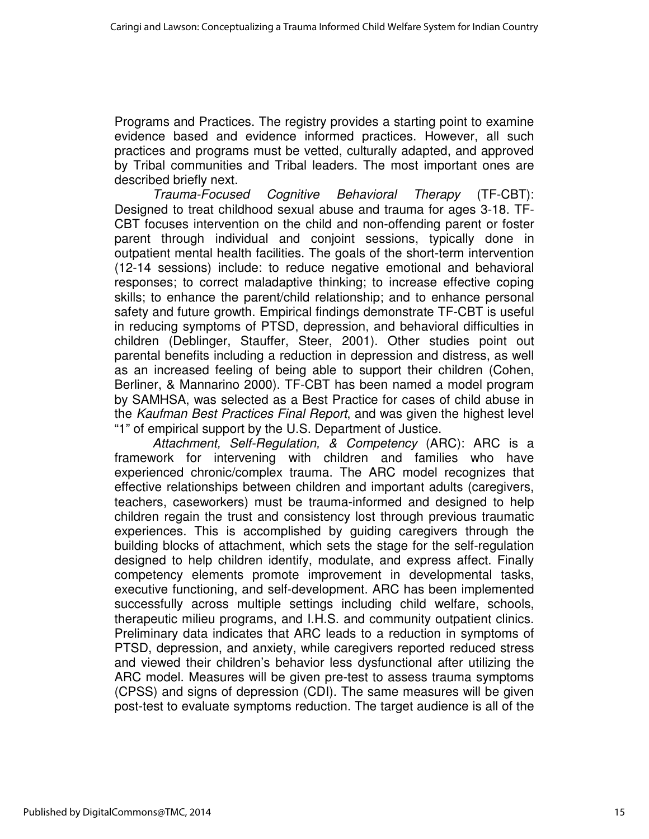Programs and Practices. The registry provides a starting point to examine evidence based and evidence informed practices. However, all such practices and programs must be vetted, culturally adapted, and approved by Tribal communities and Tribal leaders. The most important ones are described briefly next.

Trauma-Focused Cognitive Behavioral Therapy (TF-CBT): Designed to treat childhood sexual abuse and trauma for ages 3-18. TF-CBT focuses intervention on the child and non-offending parent or foster parent through individual and conjoint sessions, typically done in outpatient mental health facilities. The goals of the short-term intervention (12-14 sessions) include: to reduce negative emotional and behavioral responses; to correct maladaptive thinking; to increase effective coping skills; to enhance the parent/child relationship; and to enhance personal safety and future growth. Empirical findings demonstrate TF-CBT is useful in reducing symptoms of PTSD, depression, and behavioral difficulties in children (Deblinger, Stauffer, Steer, 2001). Other studies point out parental benefits including a reduction in depression and distress, as well as an increased feeling of being able to support their children (Cohen, Berliner, & Mannarino 2000). TF-CBT has been named a model program by SAMHSA, was selected as a Best Practice for cases of child abuse in the Kaufman Best Practices Final Report, and was given the highest level "1" of empirical support by the U.S. Department of Justice.

Attachment, Self-Regulation, & Competency (ARC): ARC is a framework for intervening with children and families who have experienced chronic/complex trauma. The ARC model recognizes that effective relationships between children and important adults (caregivers, teachers, caseworkers) must be trauma-informed and designed to help children regain the trust and consistency lost through previous traumatic experiences. This is accomplished by guiding caregivers through the building blocks of attachment, which sets the stage for the self-regulation designed to help children identify, modulate, and express affect. Finally competency elements promote improvement in developmental tasks, executive functioning, and self-development. ARC has been implemented successfully across multiple settings including child welfare, schools, therapeutic milieu programs, and I.H.S. and community outpatient clinics. Preliminary data indicates that ARC leads to a reduction in symptoms of PTSD, depression, and anxiety, while caregivers reported reduced stress and viewed their children's behavior less dysfunctional after utilizing the ARC model. Measures will be given pre-test to assess trauma symptoms (CPSS) and signs of depression (CDI). The same measures will be given post-test to evaluate symptoms reduction. The target audience is all of the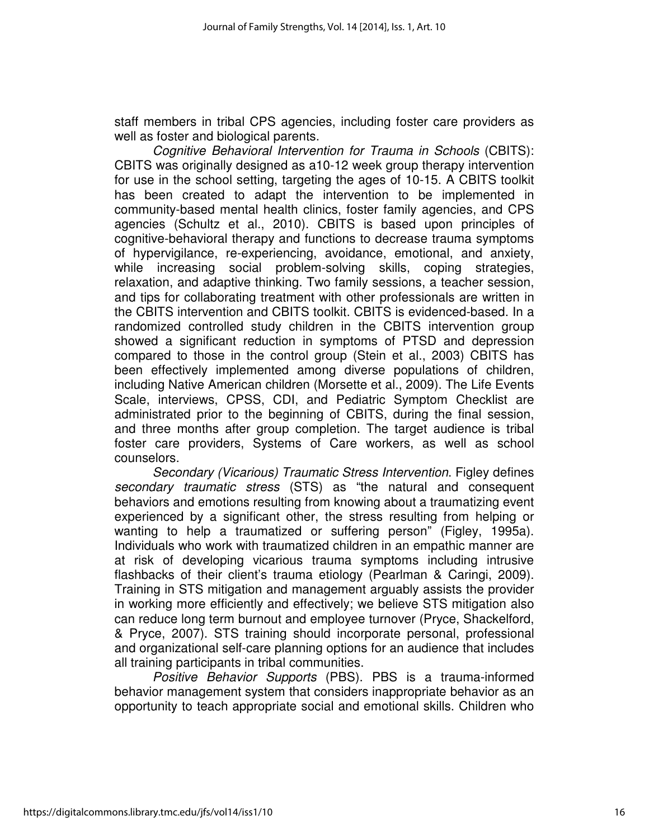staff members in tribal CPS agencies, including foster care providers as well as foster and biological parents.

Cognitive Behavioral Intervention for Trauma in Schools (CBITS): CBITS was originally designed as a10-12 week group therapy intervention for use in the school setting, targeting the ages of 10-15. A CBITS toolkit has been created to adapt the intervention to be implemented in community-based mental health clinics, foster family agencies, and CPS agencies (Schultz et al., 2010). CBITS is based upon principles of cognitive-behavioral therapy and functions to decrease trauma symptoms of hypervigilance, re-experiencing, avoidance, emotional, and anxiety, while increasing social problem-solving skills, coping strategies, relaxation, and adaptive thinking. Two family sessions, a teacher session, and tips for collaborating treatment with other professionals are written in the CBITS intervention and CBITS toolkit. CBITS is evidenced-based. In a randomized controlled study children in the CBITS intervention group showed a significant reduction in symptoms of PTSD and depression compared to those in the control group (Stein et al., 2003) CBITS has been effectively implemented among diverse populations of children, including Native American children (Morsette et al., 2009). The Life Events Scale, interviews, CPSS, CDI, and Pediatric Symptom Checklist are administrated prior to the beginning of CBITS, during the final session, and three months after group completion. The target audience is tribal foster care providers, Systems of Care workers, as well as school counselors.

Secondary (Vicarious) Traumatic Stress Intervention. Figley defines secondary traumatic stress (STS) as "the natural and consequent behaviors and emotions resulting from knowing about a traumatizing event experienced by a significant other, the stress resulting from helping or wanting to help a traumatized or suffering person" (Figley, 1995a). Individuals who work with traumatized children in an empathic manner are at risk of developing vicarious trauma symptoms including intrusive flashbacks of their client's trauma etiology (Pearlman & Caringi, 2009). Training in STS mitigation and management arguably assists the provider in working more efficiently and effectively; we believe STS mitigation also can reduce long term burnout and employee turnover (Pryce, Shackelford, & Pryce, 2007). STS training should incorporate personal, professional and organizational self-care planning options for an audience that includes all training participants in tribal communities.

Positive Behavior Supports (PBS). PBS is a trauma-informed behavior management system that considers inappropriate behavior as an opportunity to teach appropriate social and emotional skills. Children who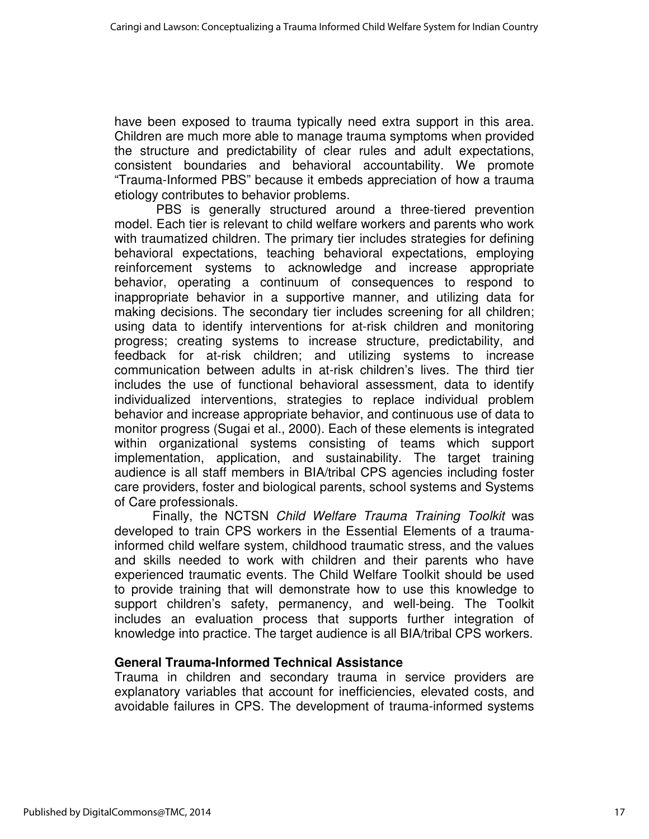have been exposed to trauma typically need extra support in this area. Children are much more able to manage trauma symptoms when provided the structure and predictability of clear rules and adult expectations, consistent boundaries and behavioral accountability. We promote "Trauma-Informed PBS" because it embeds appreciation of how a trauma etiology contributes to behavior problems.

 PBS is generally structured around a three-tiered prevention model. Each tier is relevant to child welfare workers and parents who work with traumatized children. The primary tier includes strategies for defining behavioral expectations, teaching behavioral expectations, employing reinforcement systems to acknowledge and increase appropriate behavior, operating a continuum of consequences to respond to inappropriate behavior in a supportive manner, and utilizing data for making decisions. The secondary tier includes screening for all children; using data to identify interventions for at-risk children and monitoring progress; creating systems to increase structure, predictability, and feedback for at-risk children; and utilizing systems to increase communication between adults in at-risk children's lives. The third tier includes the use of functional behavioral assessment, data to identify individualized interventions, strategies to replace individual problem behavior and increase appropriate behavior, and continuous use of data to monitor progress (Sugai et al., 2000). Each of these elements is integrated within organizational systems consisting of teams which support implementation, application, and sustainability. The target training audience is all staff members in BIA/tribal CPS agencies including foster care providers, foster and biological parents, school systems and Systems of Care professionals.

Finally, the NCTSN Child Welfare Trauma Training Toolkit was developed to train CPS workers in the Essential Elements of a traumainformed child welfare system, childhood traumatic stress, and the values and skills needed to work with children and their parents who have experienced traumatic events. The Child Welfare Toolkit should be used to provide training that will demonstrate how to use this knowledge to support children's safety, permanency, and well-being. The Toolkit includes an evaluation process that supports further integration of knowledge into practice. The target audience is all BIA/tribal CPS workers.

#### **General Trauma-Informed Technical Assistance**

Trauma in children and secondary trauma in service providers are explanatory variables that account for inefficiencies, elevated costs, and avoidable failures in CPS. The development of trauma-informed systems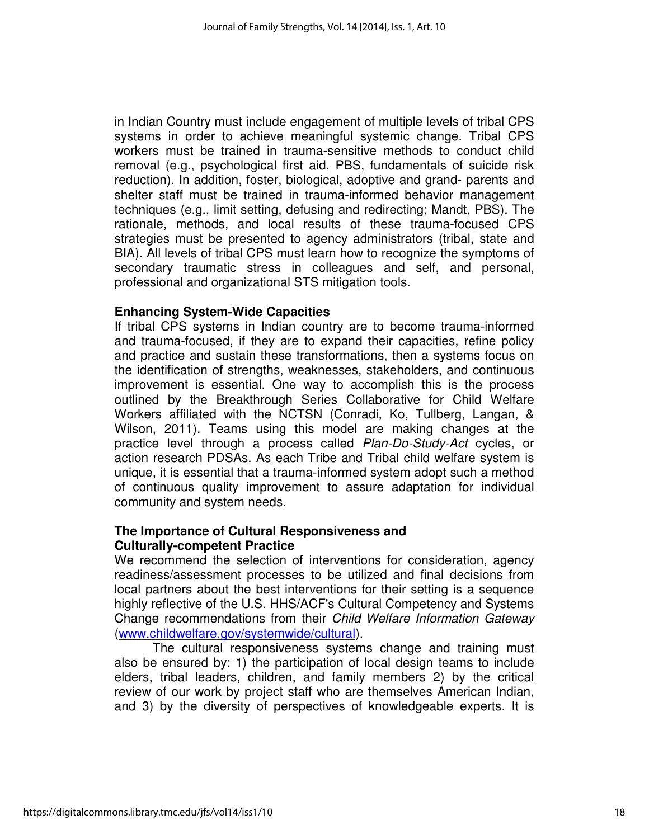in Indian Country must include engagement of multiple levels of tribal CPS systems in order to achieve meaningful systemic change. Tribal CPS workers must be trained in trauma-sensitive methods to conduct child removal (e.g., psychological first aid, PBS, fundamentals of suicide risk reduction). In addition, foster, biological, adoptive and grand- parents and shelter staff must be trained in trauma-informed behavior management techniques (e.g., limit setting, defusing and redirecting; Mandt, PBS). The rationale, methods, and local results of these trauma-focused CPS strategies must be presented to agency administrators (tribal, state and BIA). All levels of tribal CPS must learn how to recognize the symptoms of secondary traumatic stress in colleagues and self, and personal, professional and organizational STS mitigation tools.

#### **Enhancing System-Wide Capacities**

If tribal CPS systems in Indian country are to become trauma-informed and trauma-focused, if they are to expand their capacities, refine policy and practice and sustain these transformations, then a systems focus on the identification of strengths, weaknesses, stakeholders, and continuous improvement is essential. One way to accomplish this is the process outlined by the Breakthrough Series Collaborative for Child Welfare Workers affiliated with the NCTSN (Conradi, Ko, Tullberg, Langan, & Wilson, 2011). Teams using this model are making changes at the practice level through a process called Plan-Do-Study-Act cycles, or action research PDSAs. As each Tribe and Tribal child welfare system is unique, it is essential that a trauma-informed system adopt such a method of continuous quality improvement to assure adaptation for individual community and system needs.

#### **The Importance of Cultural Responsiveness and Culturally-competent Practice**

We recommend the selection of interventions for consideration, agency readiness/assessment processes to be utilized and final decisions from local partners about the best interventions for their setting is a sequence highly reflective of the U.S. HHS/ACF's Cultural Competency and Systems Change recommendations from their Child Welfare Information Gateway (www.childwelfare.gov/systemwide/cultural).

The cultural responsiveness systems change and training must also be ensured by: 1) the participation of local design teams to include elders, tribal leaders, children, and family members 2) by the critical review of our work by project staff who are themselves American Indian, and 3) by the diversity of perspectives of knowledgeable experts. It is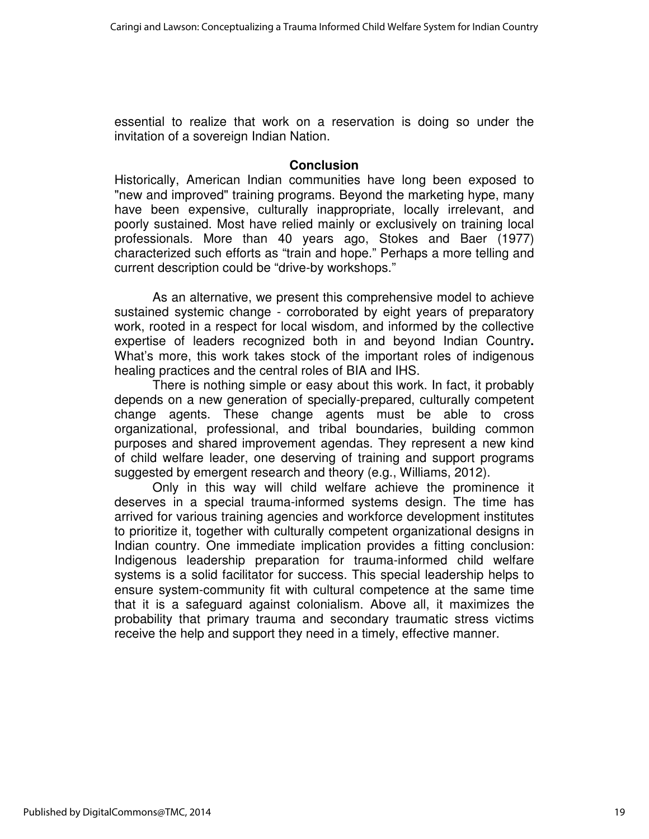essential to realize that work on a reservation is doing so under the invitation of a sovereign Indian Nation.

#### **Conclusion**

Historically, American Indian communities have long been exposed to "new and improved" training programs. Beyond the marketing hype, many have been expensive, culturally inappropriate, locally irrelevant, and poorly sustained. Most have relied mainly or exclusively on training local professionals. More than 40 years ago, Stokes and Baer (1977) characterized such efforts as "train and hope." Perhaps a more telling and current description could be "drive-by workshops."

As an alternative, we present this comprehensive model to achieve sustained systemic change - corroborated by eight years of preparatory work, rooted in a respect for local wisdom, and informed by the collective expertise of leaders recognized both in and beyond Indian Country**.**  What's more, this work takes stock of the important roles of indigenous healing practices and the central roles of BIA and IHS.

There is nothing simple or easy about this work. In fact, it probably depends on a new generation of specially-prepared, culturally competent change agents. These change agents must be able to cross organizational, professional, and tribal boundaries, building common purposes and shared improvement agendas. They represent a new kind of child welfare leader, one deserving of training and support programs suggested by emergent research and theory (e.g., Williams, 2012).

Only in this way will child welfare achieve the prominence it deserves in a special trauma-informed systems design. The time has arrived for various training agencies and workforce development institutes to prioritize it, together with culturally competent organizational designs in Indian country. One immediate implication provides a fitting conclusion: Indigenous leadership preparation for trauma-informed child welfare systems is a solid facilitator for success. This special leadership helps to ensure system-community fit with cultural competence at the same time that it is a safeguard against colonialism. Above all, it maximizes the probability that primary trauma and secondary traumatic stress victims receive the help and support they need in a timely, effective manner.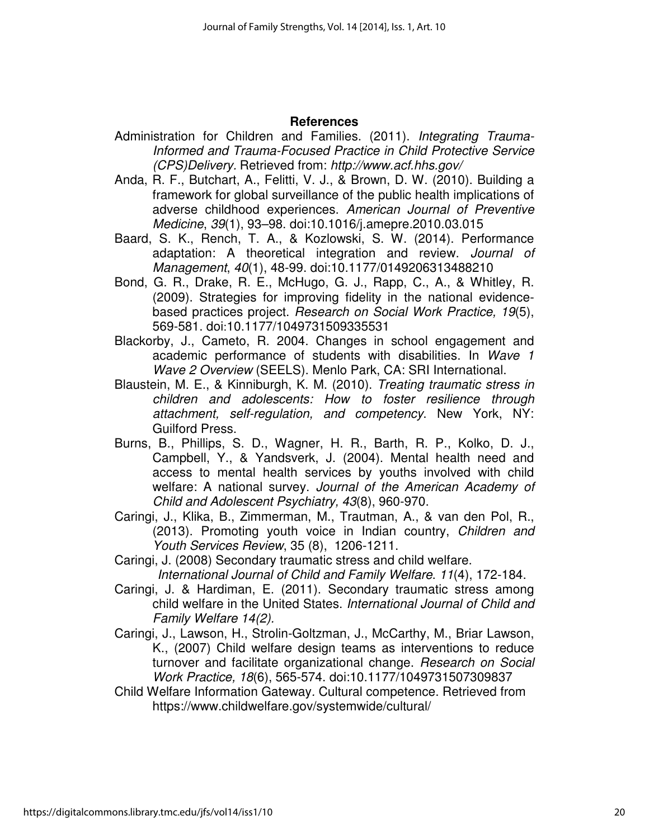#### **References**

- Administration for Children and Families. (2011). Integrating Trauma-Informed and Trauma-Focused Practice in Child Protective Service (CPS)Delivery. Retrieved from: http://www.acf.hhs.gov/
- Anda, R. F., Butchart, A., Felitti, V. J., & Brown, D. W. (2010). Building a framework for global surveillance of the public health implications of adverse childhood experiences. American Journal of Preventive Medicine, 39(1), 93–98. doi:10.1016/j.amepre.2010.03.015
- Baard, S. K., Rench, T. A., & Kozlowski, S. W. (2014). Performance adaptation: A theoretical integration and review. Journal of Management, 40(1), 48-99. doi:10.1177/0149206313488210
- Bond, G. R., Drake, R. E., McHugo, G. J., Rapp, C., A., & Whitley, R. (2009). Strategies for improving fidelity in the national evidencebased practices project. Research on Social Work Practice, 19(5), 569-581. doi:10.1177/1049731509335531
- Blackorby, J., Cameto, R. 2004. Changes in school engagement and academic performance of students with disabilities. In Wave 1 Wave 2 Overview (SEELS). Menlo Park, CA: SRI International.
- Blaustein, M. E., & Kinniburgh, K. M. (2010). Treating traumatic stress in children and adolescents: How to foster resilience through attachment, self-regulation, and competency. New York, NY: Guilford Press.
- Burns, B., Phillips, S. D., Wagner, H. R., Barth, R. P., Kolko, D. J., Campbell, Y., & Yandsverk, J. (2004). Mental health need and access to mental health services by youths involved with child welfare: A national survey. Journal of the American Academy of Child and Adolescent Psychiatry, 43(8), 960-970.
- Caringi, J., Klika, B., Zimmerman, M., Trautman, A., & van den Pol, R., (2013). Promoting youth voice in Indian country, Children and Youth Services Review, 35 (8), 1206-1211.
- Caringi, J. (2008) Secondary traumatic stress and child welfare. International Journal of Child and Family Welfare. 11(4), 172-184.
- Caringi, J. & Hardiman, E. (2011). Secondary traumatic stress among child welfare in the United States. International Journal of Child and Family Welfare 14(2).
- Caringi, J., Lawson, H., Strolin-Goltzman, J., McCarthy, M., Briar Lawson, K., (2007) Child welfare design teams as interventions to reduce turnover and facilitate organizational change. Research on Social Work Practice, 18(6), 565-574. doi:10.1177/1049731507309837
- Child Welfare Information Gateway. Cultural competence. Retrieved from https://www.childwelfare.gov/systemwide/cultural/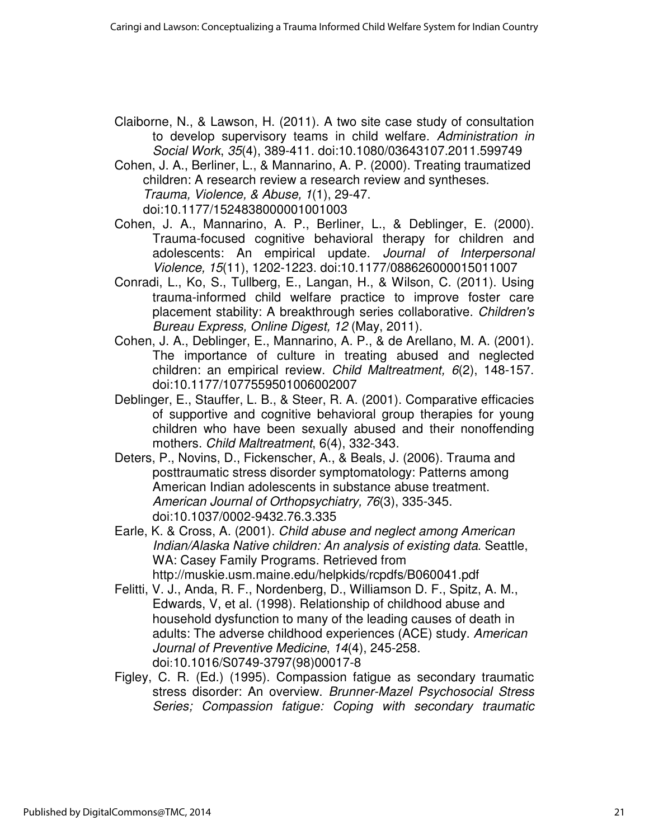- Claiborne, N., & Lawson, H. (2011). A two site case study of consultation to develop supervisory teams in child welfare. Administration in Social Work, 35(4), 389-411. doi:10.1080/03643107.2011.599749
- Cohen, J. A., Berliner, L., & Mannarino, A. P. (2000). Treating traumatized children: A research review a research review and syntheses. Trauma, Violence, & Abuse, 1(1), 29-47. doi:10.1177/1524838000001001003
- Cohen, J. A., Mannarino, A. P., Berliner, L., & Deblinger, E. (2000). Trauma-focused cognitive behavioral therapy for children and adolescents: An empirical update. Journal of Interpersonal Violence, 15(11), 1202-1223. doi:10.1177/088626000015011007
- Conradi, L., Ko, S., Tullberg, E., Langan, H., & Wilson, C. (2011). Using trauma-informed child welfare practice to improve foster care placement stability: A breakthrough series collaborative. Children's Bureau Express, Online Digest, 12 (May, 2011).
- Cohen, J. A., Deblinger, E., Mannarino, A. P., & de Arellano, M. A. (2001). The importance of culture in treating abused and neglected children: an empirical review. Child Maltreatment, 6(2), 148-157. doi:10.1177/1077559501006002007
- Deblinger, E., Stauffer, L. B., & Steer, R. A. (2001). Comparative efficacies of supportive and cognitive behavioral group therapies for young children who have been sexually abused and their nonoffending mothers. Child Maltreatment, 6(4), 332-343.
- Deters, P., Novins, D., Fickenscher, A., & Beals, J. (2006). Trauma and posttraumatic stress disorder symptomatology: Patterns among American Indian adolescents in substance abuse treatment. American Journal of Orthopsychiatry, 76(3), 335-345. doi:10.1037/0002-9432.76.3.335
- Earle, K. & Cross, A. (2001). Child abuse and neglect among American Indian/Alaska Native children: An analysis of existing data. Seattle, WA: Casey Family Programs. Retrieved from http://muskie.usm.maine.edu/helpkids/rcpdfs/B060041.pdf
- Felitti, V. J., Anda, R. F., Nordenberg, D., Williamson D. F., Spitz, A. M., Edwards, V, et al. (1998). Relationship of childhood abuse and household dysfunction to many of the leading causes of death in adults: The adverse childhood experiences (ACE) study. American Journal of Preventive Medicine, 14(4), 245-258. doi:10.1016/S0749-3797(98)00017-8
- Figley, C. R. (Ed.) (1995). Compassion fatigue as secondary traumatic stress disorder: An overview. Brunner-Mazel Psychosocial Stress Series; Compassion fatigue: Coping with secondary traumatic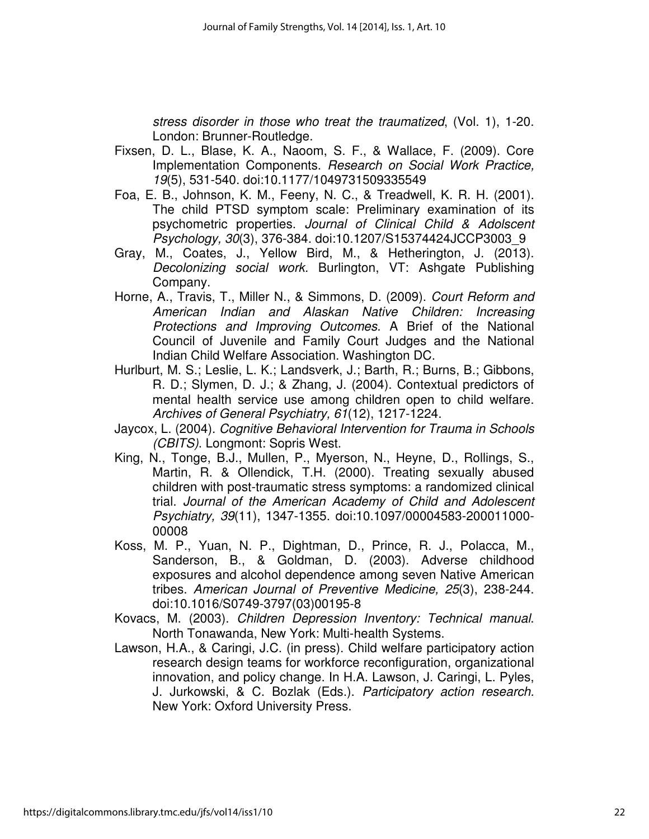stress disorder in those who treat the traumatized, (Vol. 1), 1-20. London: Brunner-Routledge.

- Fixsen, D. L., Blase, K. A., Naoom, S. F., & Wallace, F. (2009). Core Implementation Components. Research on Social Work Practice, 19(5), 531-540. doi:10.1177/1049731509335549
- Foa, E. B., Johnson, K. M., Feeny, N. C., & Treadwell, K. R. H. (2001). The child PTSD symptom scale: Preliminary examination of its psychometric properties. Journal of Clinical Child & Adolscent Psychology, 30(3), 376-384. doi:10.1207/S15374424JCCP3003\_9
- Gray, M., Coates, J., Yellow Bird, M., & Hetherington, J. (2013). Decolonizing social work. Burlington, VT: Ashgate Publishing Company.
- Horne, A., Travis, T., Miller N., & Simmons, D. (2009). Court Reform and American Indian and Alaskan Native Children: Increasing Protections and Improving Outcomes. A Brief of the National Council of Juvenile and Family Court Judges and the National Indian Child Welfare Association. Washington DC.
- Hurlburt, M. S.; Leslie, L. K.; Landsverk, J.; Barth, R.; Burns, B.; Gibbons, R. D.; Slymen, D. J.; & Zhang, J. (2004). Contextual predictors of mental health service use among children open to child welfare. Archives of General Psychiatry, 61(12), 1217-1224.
- Jaycox, L. (2004). Cognitive Behavioral Intervention for Trauma in Schools (CBITS). Longmont: Sopris West.
- King, N., Tonge, B.J., Mullen, P., Myerson, N., Heyne, D., Rollings, S., Martin, R. & Ollendick, T.H. (2000). Treating sexually abused children with post-traumatic stress symptoms: a randomized clinical trial. Journal of the American Academy of Child and Adolescent Psychiatry, 39(11), 1347-1355. doi:10.1097/00004583-200011000- 00008
- Koss, M. P., Yuan, N. P., Dightman, D., Prince, R. J., Polacca, M., Sanderson, B., & Goldman, D. (2003). Adverse childhood exposures and alcohol dependence among seven Native American tribes. American Journal of Preventive Medicine, 25(3), 238-244. doi:10.1016/S0749-3797(03)00195-8
- Kovacs, M. (2003). Children Depression Inventory: Technical manual. North Tonawanda, New York: Multi-health Systems.
- Lawson, H.A., & Caringi, J.C. (in press). Child welfare participatory action research design teams for workforce reconfiguration, organizational innovation, and policy change. In H.A. Lawson, J. Caringi, L. Pyles, J. Jurkowski, & C. Bozlak (Eds.). Participatory action research. New York: Oxford University Press.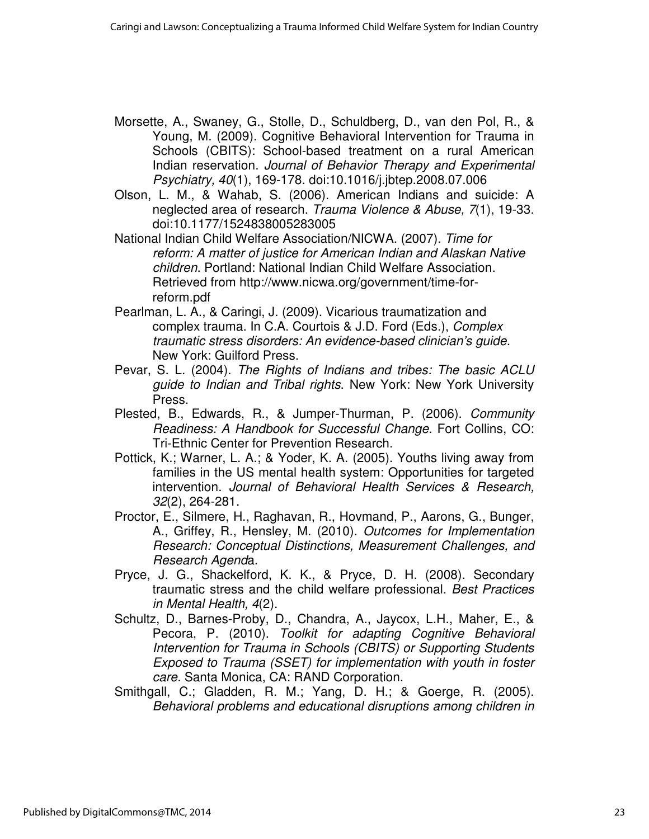- Morsette, A., Swaney, G., Stolle, D., Schuldberg, D., van den Pol, R., & Young, M. (2009). Cognitive Behavioral Intervention for Trauma in Schools (CBITS): School-based treatment on a rural American Indian reservation. Journal of Behavior Therapy and Experimental Psychiatry, 40(1), 169-178. doi:10.1016/j.jbtep.2008.07.006
- Olson, L. M., & Wahab, S. (2006). American Indians and suicide: A neglected area of research. Trauma Violence & Abuse, 7(1), 19-33. doi:10.1177/1524838005283005
- National Indian Child Welfare Association/NICWA. (2007). Time for reform: A matter of justice for American Indian and Alaskan Native children. Portland: National Indian Child Welfare Association. Retrieved from http://www.nicwa.org/government/time-forreform.pdf
- Pearlman, L. A., & Caringi, J. (2009). Vicarious traumatization and complex trauma. In C.A. Courtois & J.D. Ford (Eds.), Complex traumatic stress disorders: An evidence-based clinician's guide. New York: Guilford Press.
- Pevar, S. L. (2004). The Rights of Indians and tribes: The basic ACLU guide to Indian and Tribal rights. New York: New York University Press.
- Plested, B., Edwards, R., & Jumper-Thurman, P. (2006). Community Readiness: A Handbook for Successful Change. Fort Collins, CO: Tri-Ethnic Center for Prevention Research.
- Pottick, K.; Warner, L. A.; & Yoder, K. A. (2005). Youths living away from families in the US mental health system: Opportunities for targeted intervention. Journal of Behavioral Health Services & Research, 32(2), 264-281.
- Proctor, E., Silmere, H., Raghavan, R., Hovmand, P., Aarons, G., Bunger, A., Griffey, R., Hensley, M. (2010). Outcomes for Implementation Research: Conceptual Distinctions, Measurement Challenges, and Research Agenda.
- Pryce, J. G., Shackelford, K. K., & Pryce, D. H. (2008). Secondary traumatic stress and the child welfare professional. Best Practices in Mental Health, 4(2).
- Schultz, D., Barnes-Proby, D., Chandra, A., Jaycox, L.H., Maher, E., & Pecora, P. (2010). Toolkit for adapting Cognitive Behavioral Intervention for Trauma in Schools (CBITS) or Supporting Students Exposed to Trauma (SSET) for implementation with youth in foster care. Santa Monica, CA: RAND Corporation.
- Smithgall, C.; Gladden, R. M.; Yang, D. H.; & Goerge, R. (2005). Behavioral problems and educational disruptions among children in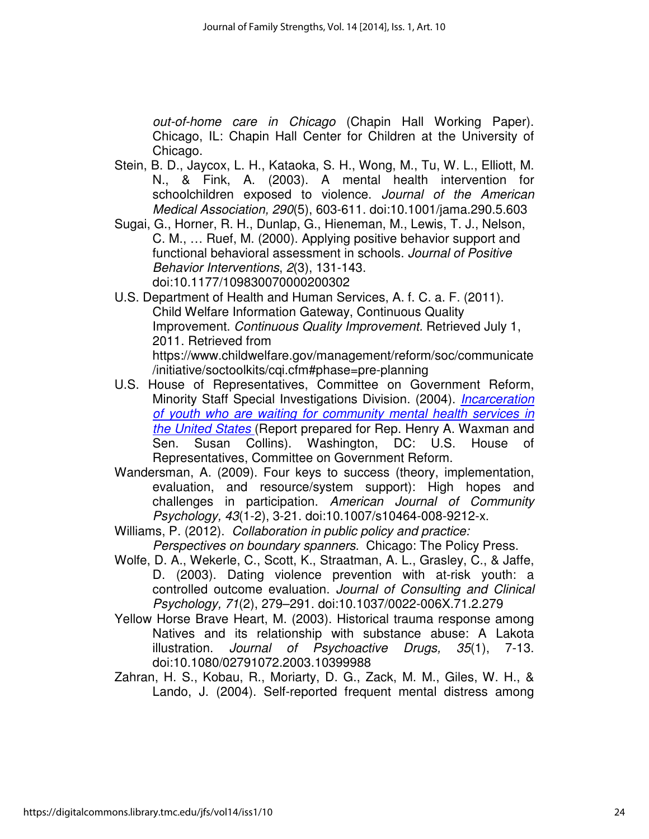out-of-home care in Chicago (Chapin Hall Working Paper). Chicago, IL: Chapin Hall Center for Children at the University of Chicago.

- Stein, B. D., Jaycox, L. H., Kataoka, S. H., Wong, M., Tu, W. L., Elliott, M. N., & Fink, A. (2003). A mental health intervention for schoolchildren exposed to violence. Journal of the American Medical Association, 290(5), 603-611. doi:10.1001/jama.290.5.603
- Sugai, G., Horner, R. H., Dunlap, G., Hieneman, M., Lewis, T. J., Nelson, C. M., … Ruef, M. (2000). Applying positive behavior support and functional behavioral assessment in schools. Journal of Positive Behavior Interventions, 2(3), 131-143. doi:10.1177/109830070000200302
- U.S. Department of Health and Human Services, A. f. C. a. F. (2011). Child Welfare Information Gateway, Continuous Quality Improvement. Continuous Quality Improvement. Retrieved July 1, 2011. Retrieved from https://www.childwelfare.gov/management/reform/soc/communicate /initiative/soctoolkits/cqi.cfm#phase=pre-planning
- U.S. House of Representatives, Committee on Government Reform, Minority Staff Special Investigations Division. (2004). *Incarceration* of youth who are waiting for community mental health services in the United States (Report prepared for Rep. Henry A. Waxman and Sen. Susan Collins). Washington, DC: U.S. House of Representatives, Committee on Government Reform.
- Wandersman, A. (2009). Four keys to success (theory, implementation, evaluation, and resource/system support): High hopes and challenges in participation. American Journal of Community Psychology, 43(1-2), 3-21. doi:10.1007/s10464-008-9212-x.
- Williams, P. (2012). Collaboration in public policy and practice: Perspectives on boundary spanners. Chicago: The Policy Press.
- Wolfe, D. A., Wekerle, C., Scott, K., Straatman, A. L., Grasley, C., & Jaffe, D. (2003). Dating violence prevention with at-risk youth: a controlled outcome evaluation. Journal of Consulting and Clinical Psychology, 71(2), 279–291. doi:10.1037/0022-006X.71.2.279
- Yellow Horse Brave Heart, M. (2003). Historical trauma response among Natives and its relationship with substance abuse: A Lakota illustration. Journal of Psychoactive Drugs, 35(1), 7-13. doi:10.1080/02791072.2003.10399988
- Zahran, H. S., Kobau, R., Moriarty, D. G., Zack, M. M., Giles, W. H., & Lando, J. (2004). Self-reported frequent mental distress among